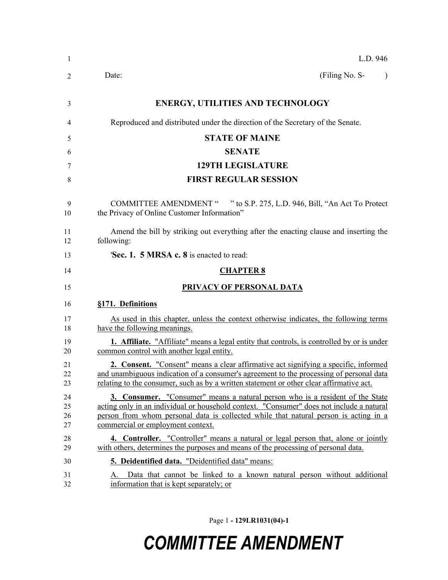| -1                   | L.D. 946                                                                                                                                                                                                                                                                                                      |  |  |
|----------------------|---------------------------------------------------------------------------------------------------------------------------------------------------------------------------------------------------------------------------------------------------------------------------------------------------------------|--|--|
| 2                    | (Filing No. S-<br>Date:<br>$\lambda$                                                                                                                                                                                                                                                                          |  |  |
| 3                    | <b>ENERGY, UTILITIES AND TECHNOLOGY</b>                                                                                                                                                                                                                                                                       |  |  |
| 4                    | Reproduced and distributed under the direction of the Secretary of the Senate.                                                                                                                                                                                                                                |  |  |
| 5                    | <b>STATE OF MAINE</b>                                                                                                                                                                                                                                                                                         |  |  |
| 6                    | <b>SENATE</b>                                                                                                                                                                                                                                                                                                 |  |  |
| 7                    | <b>129TH LEGISLATURE</b>                                                                                                                                                                                                                                                                                      |  |  |
| 8                    | <b>FIRST REGULAR SESSION</b>                                                                                                                                                                                                                                                                                  |  |  |
| 9<br>10              | COMMITTEE AMENDMENT " " to S.P. 275, L.D. 946, Bill, "An Act To Protect<br>the Privacy of Online Customer Information"                                                                                                                                                                                        |  |  |
| 11<br>12             | Amend the bill by striking out everything after the enacting clause and inserting the<br>following:                                                                                                                                                                                                           |  |  |
| 13                   | <b>Sec. 1. 5 MRSA c. 8</b> is enacted to read:                                                                                                                                                                                                                                                                |  |  |
| 14                   | <b>CHAPTER 8</b>                                                                                                                                                                                                                                                                                              |  |  |
| 15                   | PRIVACY OF PERSONAL DATA                                                                                                                                                                                                                                                                                      |  |  |
| 16                   | §171. Definitions                                                                                                                                                                                                                                                                                             |  |  |
| 17<br>18             | As used in this chapter, unless the context otherwise indicates, the following terms<br>have the following meanings.                                                                                                                                                                                          |  |  |
| 19<br>20             | 1. Affiliate. "Affiliate" means a legal entity that controls, is controlled by or is under<br>common control with another legal entity.                                                                                                                                                                       |  |  |
| 21<br>22<br>23       | <b>2. Consent.</b> "Consent" means a clear affirmative act signifying a specific, informed<br>and unambiguous indication of a consumer's agreement to the processing of personal data<br>relating to the consumer, such as by a written statement or other clear affirmative act.                             |  |  |
| 24<br>25<br>26<br>27 | <b>3. Consumer.</b> "Consumer" means a natural person who is a resident of the State<br>acting only in an individual or household context. "Consumer" does not include a natural<br>person from whom personal data is collected while that natural person is acting in a<br>commercial or employment context. |  |  |
| 28<br>29             | <b>4. Controller.</b> "Controller" means a natural or legal person that, alone or jointly<br>with others, determines the purposes and means of the processing of personal data.                                                                                                                               |  |  |
| 30                   | 5. Deidentified data. "Deidentified data" means:                                                                                                                                                                                                                                                              |  |  |
| 31<br>32             | Data that cannot be linked to a known natural person without additional<br>A<br>information that is kept separately; or                                                                                                                                                                                       |  |  |

Page 1 **- 129LR1031(04)-1**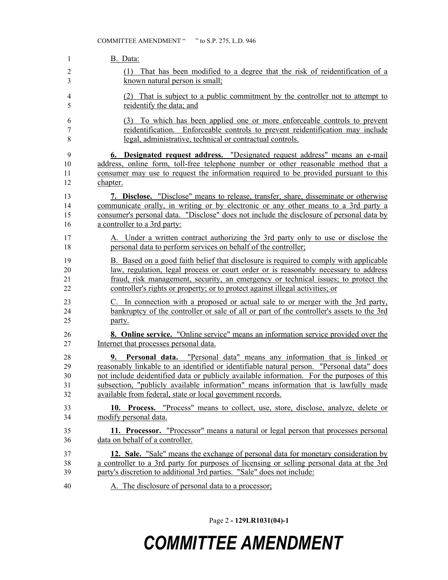| 1           | B. Data:                                                                                                                                                                                                                    |
|-------------|-----------------------------------------------------------------------------------------------------------------------------------------------------------------------------------------------------------------------------|
| 2<br>3      | That has been modified to a degree that the risk of reidentification of a<br>(1)<br>known natural person is small;                                                                                                          |
| 4           | (2) That is subject to a public commitment by the controller not to attempt to                                                                                                                                              |
| 5           | reidentify the data; and                                                                                                                                                                                                    |
| 6<br>7<br>8 | To which has been applied one or more enforceable controls to prevent<br>(3)<br>reidentification. Enforceable controls to prevent reidentification may include<br>legal, administrative, technical or contractual controls. |
| 9           | 6. Designated request address. "Designated request address" means an e-mail                                                                                                                                                 |
| 10          | address, online form, toll-free telephone number or other reasonable method that a                                                                                                                                          |
| 11          | consumer may use to request the information required to be provided pursuant to this                                                                                                                                        |
| 12          | chapter.                                                                                                                                                                                                                    |
| 13          | 7. Disclose. "Disclose" means to release, transfer, share, disseminate or otherwise                                                                                                                                         |
| 14          | communicate orally, in writing or by electronic or any other means to a 3rd party a                                                                                                                                         |
| 15          | consumer's personal data. "Disclose" does not include the disclosure of personal data by                                                                                                                                    |
| 16          | a controller to a 3rd party:                                                                                                                                                                                                |
| 17          | A. Under a written contract authorizing the 3rd party only to use or disclose the                                                                                                                                           |
| 18          | personal data to perform services on behalf of the controller;                                                                                                                                                              |
| 19          | B. Based on a good faith belief that disclosure is required to comply with applicable                                                                                                                                       |
| 20          | law, regulation, legal process or court order or is reasonably necessary to address                                                                                                                                         |
| 21          | fraud, risk management, security, an emergency or technical issues; to protect the                                                                                                                                          |
| 22          | controller's rights or property; or to protect against illegal activities; or                                                                                                                                               |
| 23          | C. In connection with a proposed or actual sale to or merger with the 3rd party,                                                                                                                                            |
| 24          | bankruptcy of the controller or sale of all or part of the controller's assets to the 3rd                                                                                                                                   |
| 25          | party.                                                                                                                                                                                                                      |
| 26          | <b>8. Online service.</b> "Online service" means an information service provided over the                                                                                                                                   |
| 27          | Internet that processes personal data.                                                                                                                                                                                      |
| 28          | 9. Personal data. "Personal data" means any information that is linked or                                                                                                                                                   |
| 29          | reasonably linkable to an identified or identifiable natural person. "Personal data" does                                                                                                                                   |
| 30          | not include deidentified data or publicly available information. For the purposes of this                                                                                                                                   |
| 31          | subsection, "publicly available information" means information that is lawfully made                                                                                                                                        |
| 32          | available from federal, state or local government records.                                                                                                                                                                  |
| 33          | 10. Process. "Process" means to collect, use, store, disclose, analyze, delete or                                                                                                                                           |
| 34          | modify personal data.                                                                                                                                                                                                       |
| 35          | 11. Processor. "Processor" means a natural or legal person that processes personal                                                                                                                                          |
| 36          | data on behalf of a controller.                                                                                                                                                                                             |
| 37          | 12. Sale. "Sale" means the exchange of personal data for monetary consideration by                                                                                                                                          |
| 38          | a controller to a 3rd party for purposes of licensing or selling personal data at the 3rd                                                                                                                                   |
| 39          | party's discretion to additional 3rd parties. "Sale" does not include:                                                                                                                                                      |
| 40          | A. The disclosure of personal data to a processor;                                                                                                                                                                          |

Page 2 **- 129LR1031(04)-1**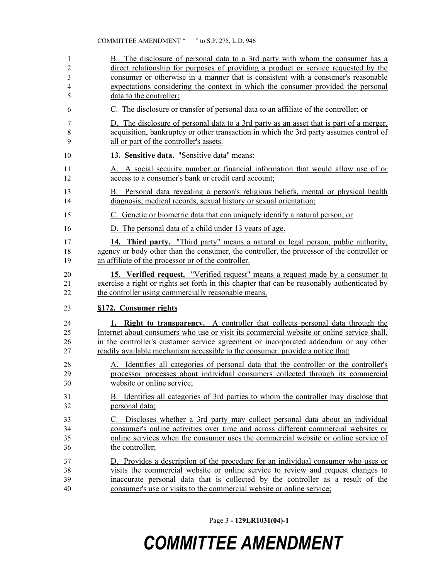| 1                    | B. The disclosure of personal data to a 3rd party with whom the consumer has a                                                                                                                                                                                                   |
|----------------------|----------------------------------------------------------------------------------------------------------------------------------------------------------------------------------------------------------------------------------------------------------------------------------|
| 2                    | direct relationship for purposes of providing a product or service requested by the                                                                                                                                                                                              |
| 3                    | consumer or otherwise in a manner that is consistent with a consumer's reasonable                                                                                                                                                                                                |
| 4                    | expectations considering the context in which the consumer provided the personal                                                                                                                                                                                                 |
| 5                    | data to the controller;                                                                                                                                                                                                                                                          |
| 6                    | C. The disclosure or transfer of personal data to an affiliate of the controller; or                                                                                                                                                                                             |
| 7                    | D. The disclosure of personal data to a 3rd party as an asset that is part of a merger,                                                                                                                                                                                          |
| $8\,$                | acquisition, bankruptcy or other transaction in which the 3rd party assumes control of                                                                                                                                                                                           |
| 9                    | all or part of the controller's assets.                                                                                                                                                                                                                                          |
| 10                   | 13. Sensitive data. "Sensitive data" means:                                                                                                                                                                                                                                      |
| 11                   | A. A social security number or financial information that would allow use of or                                                                                                                                                                                                  |
| 12                   | access to a consumer's bank or credit card account;                                                                                                                                                                                                                              |
| 13                   | B. Personal data revealing a person's religious beliefs, mental or physical health                                                                                                                                                                                               |
| 14                   | diagnosis, medical records, sexual history or sexual orientation;                                                                                                                                                                                                                |
| 15                   | C. Genetic or biometric data that can uniquely identify a natural person; or                                                                                                                                                                                                     |
| 16                   | D. The personal data of a child under 13 years of age.                                                                                                                                                                                                                           |
| 17                   | 14. Third party. "Third party" means a natural or legal person, public authority,                                                                                                                                                                                                |
| 18                   | agency or body other than the consumer, the controller, the processor of the controller or                                                                                                                                                                                       |
| 19                   | an affiliate of the processor or of the controller.                                                                                                                                                                                                                              |
| 20                   | 15. Verified request. "Verified request" means a request made by a consumer to                                                                                                                                                                                                   |
| 21                   | exercise a right or rights set forth in this chapter that can be reasonably authenticated by                                                                                                                                                                                     |
| 22                   | the controller using commercially reasonable means.                                                                                                                                                                                                                              |
| 23                   | §172. Consumer rights                                                                                                                                                                                                                                                            |
| 24                   | <b>1. Right to transparency.</b> A controller that collects personal data through the                                                                                                                                                                                            |
| 25                   | Internet about consumers who use or visit its commercial website or online service shall,                                                                                                                                                                                        |
| 26                   | in the controller's customer service agreement or incorporated addendum or any other                                                                                                                                                                                             |
| 27                   | readily available mechanism accessible to the consumer, provide a notice that:                                                                                                                                                                                                   |
| 28                   | A. Identifies all categories of personal data that the controller or the controller's                                                                                                                                                                                            |
| 29                   | processor processes about individual consumers collected through its commercial                                                                                                                                                                                                  |
| 30                   | website or online service;                                                                                                                                                                                                                                                       |
| 31                   | B. Identifies all categories of 3rd parties to whom the controller may disclose that                                                                                                                                                                                             |
| 32                   | personal data;                                                                                                                                                                                                                                                                   |
| 33<br>34<br>35<br>36 | Discloses whether a 3rd party may collect personal data about an individual<br>C.<br>consumer's online activities over time and across different commercial websites or<br>online services when the consumer uses the commercial website or online service of<br>the controller; |
| 37                   | D. Provides a description of the procedure for an individual consumer who uses or                                                                                                                                                                                                |
| 38                   | visits the commercial website or online service to review and request changes to                                                                                                                                                                                                 |
| 39                   | inaccurate personal data that is collected by the controller as a result of the                                                                                                                                                                                                  |
| 40                   | consumer's use or visits to the commercial website or online service;                                                                                                                                                                                                            |

Page 3 **- 129LR1031(04)-1**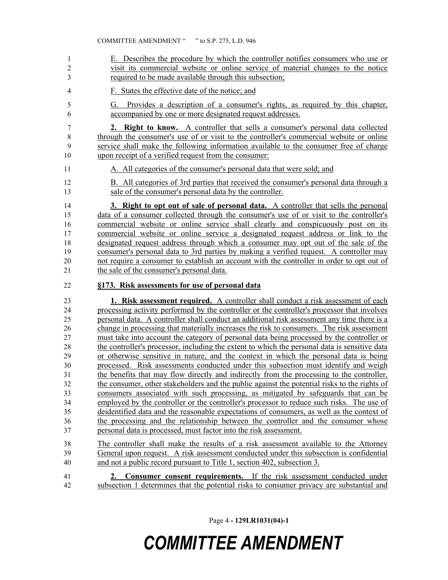E. Describes the procedure by which the controller notifies consumers who use or visit its commercial website or online service of material changes to the notice required to be made available through this subsection; F. States the effective date of the notice; and G. Provides a description of a consumer's rights, as required by this chapter, accompanied by one or more designated request addresses. **2. Right to know.** A controller that sells a consumer's personal data collected 8 through the consumer's use of or visit to the controller's commercial website or online service shall make the following information available to the consumer free of charge upon receipt of a verified request from the consumer: A. All categories of the consumer's personal data that were sold; and B. All categories of 3rd parties that received the consumer's personal data through a sale of the consumer's personal data by the controller. **3. Right to opt out of sale of personal data.** A controller that sells the personal data of a consumer collected through the consumer's use of or visit to the controller's commercial website or online service shall clearly and conspicuously post on its commercial website or online service a designated request address or link to the designated request address through which a consumer may opt out of the sale of the consumer's personal data to 3rd parties by making a verified request. A controller may not require a consumer to establish an account with the controller in order to opt out of the sale of the consumer's personal data. **§173. Risk assessments for use of personal data 1. Risk assessment required.** A controller shall conduct a risk assessment of each processing activity performed by the controller or the controller's processor that involves personal data. A controller shall conduct an additional risk assessment any time there is a change in processing that materially increases the risk to consumers. The risk assessment must take into account the category of personal data being processed by the controller or the controller's processor, including the extent to which the personal data is sensitive data or otherwise sensitive in nature, and the context in which the personal data is being processed. Risk assessments conducted under this subsection must identify and weigh the benefits that may flow directly and indirectly from the processing to the controller, the consumer, other stakeholders and the public against the potential risks to the rights of consumers associated with such processing, as mitigated by safeguards that can be 34 employed by the controller or the controller's processor to reduce such risks. The use of deidentified data and the reasonable expectations of consumers, as well as the context of the processing and the relationship between the controller and the consumer whose personal data is processed, must factor into the risk assessment. The controller shall make the results of a risk assessment available to the Attorney General upon request. A risk assessment conducted under this subsection is confidential and not a public record pursuant to Title 1, section 402, subsection 3. **2. Consumer consent requirements.** If the risk assessment conducted under subsection 1 determines that the potential risks to consumer privacy are substantial and

Page 4 **- 129LR1031(04)-1**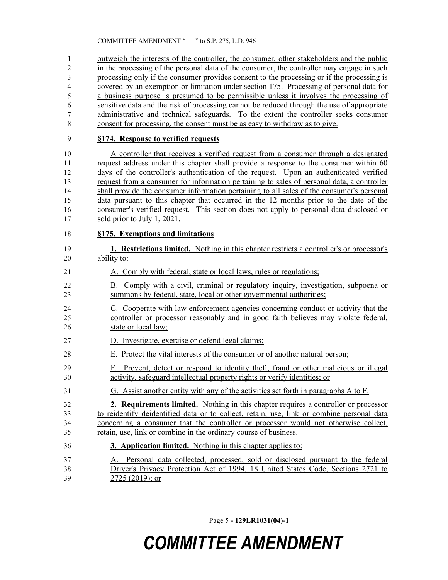outweigh the interests of the controller, the consumer, other stakeholders and the public in the processing of the personal data of the consumer, the controller may engage in such processing only if the consumer provides consent to the processing or if the processing is covered by an exemption or limitation under section 175. Processing of personal data for a business purpose is presumed to be permissible unless it involves the processing of sensitive data and the risk of processing cannot be reduced through the use of appropriate administrative and technical safeguards. To the extent the controller seeks consumer consent for processing, the consent must be as easy to withdraw as to give.

#### **§174. Response to verified requests**

 A controller that receives a verified request from a consumer through a designated 11 request address under this chapter shall provide a response to the consumer within 60 days of the controller's authentication of the request. Upon an authenticated verified request from a consumer for information pertaining to sales of personal data, a controller shall provide the consumer information pertaining to all sales of the consumer's personal data pursuant to this chapter that occurred in the 12 months prior to the date of the consumer's verified request. This section does not apply to personal data disclosed or sold prior to July 1, 2021.

#### **§175. Exemptions and limitations**

- **1. Restrictions limited.** Nothing in this chapter restricts a controller's or processor's ability to:
- A. Comply with federal, state or local laws, rules or regulations;
- B. Comply with a civil, criminal or regulatory inquiry, investigation, subpoena or summons by federal, state, local or other governmental authorities;
- C. Cooperate with law enforcement agencies concerning conduct or activity that the controller or processor reasonably and in good faith believes may violate federal, state or local law;
- D. Investigate, exercise or defend legal claims;
- E. Protect the vital interests of the consumer or of another natural person;
- F. Prevent, detect or respond to identity theft, fraud or other malicious or illegal activity, safeguard intellectual property rights or verify identities; or
- G. Assist another entity with any of the activities set forth in paragraphs A to F.
- **2. Requirements limited.** Nothing in this chapter requires a controller or processor to reidentify deidentified data or to collect, retain, use, link or combine personal data concerning a consumer that the controller or processor would not otherwise collect, retain, use, link or combine in the ordinary course of business.
- **3. Application limited.** Nothing in this chapter applies to:
- A. Personal data collected, processed, sold or disclosed pursuant to the federal Driver's Privacy Protection Act of 1994, 18 United States Code, Sections 2721 to 2725 (2019); or

Page 5 **- 129LR1031(04)-1**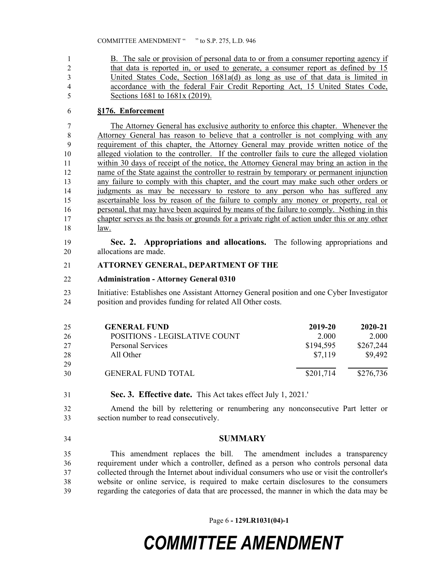B. The sale or provision of personal data to or from a consumer reporting agency if that data is reported in, or used to generate, a consumer report as defined by 15 United States Code, Section 1681a(d) as long as use of that data is limited in accordance with the federal Fair Credit Reporting Act, 15 United States Code, Sections 1681 to 1681x (2019).

### **§176. Enforcement**

 The Attorney General has exclusive authority to enforce this chapter. Whenever the Attorney General has reason to believe that a controller is not complying with any requirement of this chapter, the Attorney General may provide written notice of the alleged violation to the controller. If the controller fails to cure the alleged violation within 30 days of receipt of the notice, the Attorney General may bring an action in the 12 name of the State against the controller to restrain by temporary or permanent injunction any failure to comply with this chapter, and the court may make such other orders or judgments as may be necessary to restore to any person who has suffered any ascertainable loss by reason of the failure to comply any money or property, real or personal, that may have been acquired by means of the failure to comply. Nothing in this chapter serves as the basis or grounds for a private right of action under this or any other law.

 **Sec. 2. Appropriations and allocations.** The following appropriations and allocations are made.

#### **ATTORNEY GENERAL, DEPARTMENT OF THE**

#### **Administration - Attorney General 0310**

 Initiative: Establishes one Assistant Attorney General position and one Cyber Investigator position and provides funding for related All Other costs.

| 25 | <b>GENERAL FUND</b>           | 2019-20   | $2020 - 21$ |
|----|-------------------------------|-----------|-------------|
| 26 | POSITIONS - LEGISLATIVE COUNT | 2.000     | 2.000       |
| 27 | <b>Personal Services</b>      | \$194,595 | \$267,244   |
| 28 | All Other                     | \$7.119   | \$9,492     |
| 29 |                               |           |             |
| 30 | <b>GENERAL FUND TOTAL</b>     | \$201,714 | \$276,736   |

**Sec. 3. Effective date.** This Act takes effect July 1, 2021.'

 Amend the bill by relettering or renumbering any nonconsecutive Part letter or section number to read consecutively.

**SUMMARY**

 This amendment replaces the bill. The amendment includes a transparency requirement under which a controller, defined as a person who controls personal data collected through the Internet about individual consumers who use or visit the controller's website or online service, is required to make certain disclosures to the consumers regarding the categories of data that are processed, the manner in which the data may be

Page 6 **- 129LR1031(04)-1**